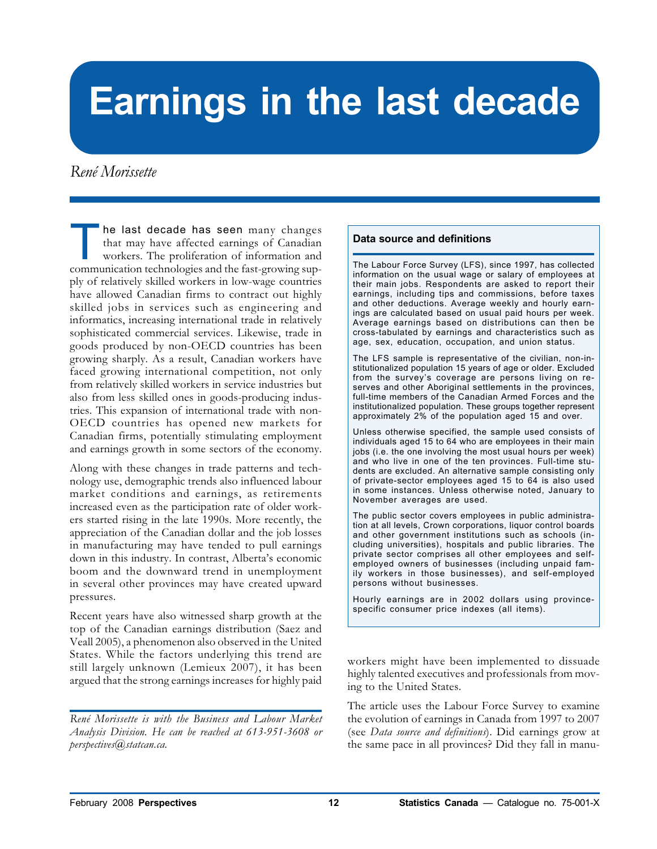# **Earnings in the last decade**

# René Morissette

he last decade has seen many changes that may have affected earnings of Canadian workers. The proliferation of information and communication technologies and the fast-growing supply of relatively skilled workers in low-wage countries have allowed Canadian firms to contract out highly skilled jobs in services such as engineering and informatics, increasing international trade in relatively sophisticated commercial services. Likewise, trade in goods produced by non-OECD countries has been growing sharply. As a result, Canadian workers have faced growing international competition, not only from relatively skilled workers in service industries but also from less skilled ones in goods-producing industries. This expansion of international trade with non-OECD countries has opened new markets for Canadian firms, potentially stimulating employment and earnings growth in some sectors of the economy.

Along with these changes in trade patterns and technology use, demographic trends also influenced labour market conditions and earnings, as retirements increased even as the participation rate of older workers started rising in the late 1990s. More recently, the appreciation of the Canadian dollar and the job losses in manufacturing may have tended to pull earnings down in this industry. In contrast, Alberta's economic boom and the downward trend in unemployment in several other provinces may have created upward pressures.

Recent years have also witnessed sharp growth at the top of the Canadian earnings distribution (Saez and Veall 2005), a phenomenon also observed in the United States. While the factors underlying this trend are still largely unknown (Lemieux 2007), it has been argued that the strong earnings increases for highly paid

#### **Data source and definitions**

The Labour Force Survey (LFS), since 1997, has collected information on the usual wage or salary of employees at their main jobs. Respondents are asked to report their earnings, including tips and commissions, before taxes and other deductions. Average weekly and hourly earnings are calculated based on usual paid hours per week. Average earnings based on distributions can then be cross-tabulated by earnings and characteristics such as age, sex, education, occupation, and union status.

The LFS sample is representative of the civilian, non-institutionalized population 15 years of age or older. Excluded from the survey's coverage are persons living on reserves and other Aboriginal settlements in the provinces, full-time members of the Canadian Armed Forces and the institutionalized population. These groups together represent approximately 2% of the population aged 15 and over.

Unless otherwise specified, the sample used consists of individuals aged 15 to 64 who are employees in their main jobs (i.e. the one involving the most usual hours per week) and who live in one of the ten provinces. Full-time students are excluded. An alternative sample consisting only of private-sector employees aged 15 to 64 is also used in some instances. Unless otherwise noted, January to November averages are used.

The public sector covers employees in public administration at all levels, Crown corporations, liquor control boards and other government institutions such as schools (including universities), hospitals and public libraries. The private sector comprises all other employees and selfemployed owners of businesses (including unpaid family workers in those businesses), and self-employed persons without businesses.

Hourly earnings are in 2002 dollars using provincespecific consumer price indexes (all items).

workers might have been implemented to dissuade highly talented executives and professionals from moving to the United States.

The article uses the Labour Force Survey to examine the evolution of earnings in Canada from 1997 to 2007 (see Data source and definitions). Did earnings grow at the same pace in all provinces? Did they fall in manu-

René Morissette is with the Business and Labour Market Analysis Division. He can be reached at 613-951-3608 or perspectives@statcan.ca.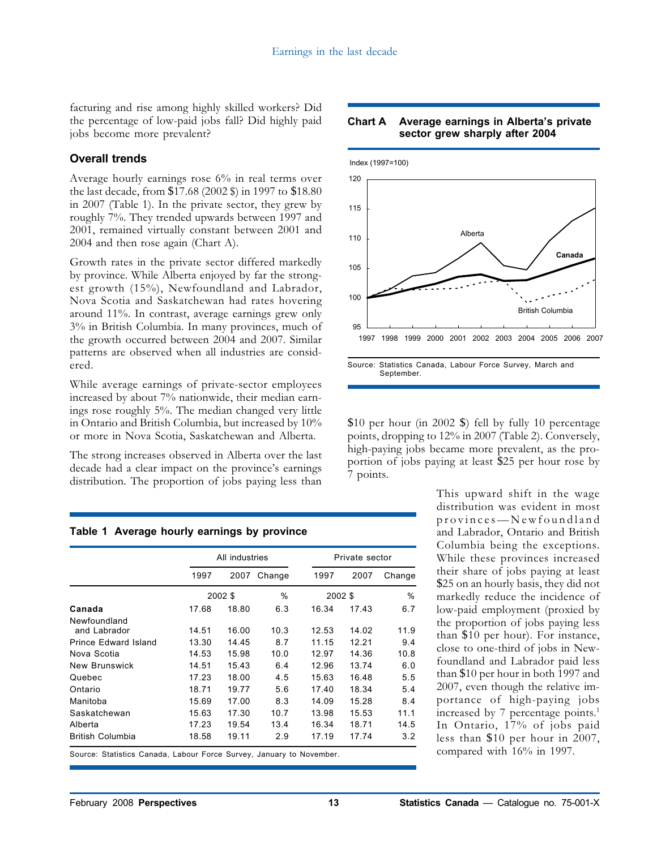facturing and rise among highly skilled workers? Did the percentage of low-paid jobs fall? Did highly paid jobs become more prevalent?

# **Overall trends**

Average hourly earnings rose 6% in real terms over the last decade, from \$17.68 (2002 \$) in 1997 to \$18.80 in 2007 (Table 1). In the private sector, they grew by roughly 7%. They trended upwards between 1997 and 2001, remained virtually constant between 2001 and 2004 and then rose again (Chart A).

Growth rates in the private sector differed markedly by province. While Alberta enjoyed by far the strongest growth (15%), Newfoundland and Labrador, Nova Scotia and Saskatchewan had rates hovering around 11%. In contrast, average earnings grew only 3% in British Columbia. In many provinces, much of the growth occurred between 2004 and 2007. Similar patterns are observed when all industries are considered.

While average earnings of private-sector employees increased by about 7% nationwide, their median earnings rose roughly 5%. The median changed very little in Ontario and British Columbia, but increased by 10% or more in Nova Scotia, Saskatchewan and Alberta.

The strong increases observed in Alberta over the last decade had a clear impact on the province's earnings distribution. The proportion of jobs paying less than

#### **Table 1 Average hourly earnings by province**

|                         |       | All industries |        |         | Private sector |        |  |
|-------------------------|-------|----------------|--------|---------|----------------|--------|--|
|                         | 1997  | 2007           | Change | 1997    | 2007           | Change |  |
|                         |       | 2002 \$        |        | 2002 \$ |                | %      |  |
| Canada                  | 17.68 | 18.80          | 6.3    | 16.34   | 17.43          | 6.7    |  |
| Newfoundland            |       |                |        |         |                |        |  |
| and Labrador            | 14.51 | 16.00          | 10.3   | 12.53   | 14.02          | 11.9   |  |
| Prince Edward Island    | 13.30 | 14.45          | 8.7    | 11.15   | 12.21          | 9.4    |  |
| Nova Scotia             | 14.53 | 15.98          | 10.0   | 12.97   | 14.36          | 10.8   |  |
| <b>New Brunswick</b>    | 14.51 | 15.43          | 6.4    | 12.96   | 13.74          | 6.0    |  |
| Quebec                  | 17.23 | 18.00          | 4.5    | 15.63   | 16.48          | 5.5    |  |
| Ontario                 | 18.71 | 19.77          | 5.6    | 17.40   | 18.34          | 5.4    |  |
| Manitoba                | 15.69 | 17.00          | 8.3    | 14.09   | 15.28          | 8.4    |  |
| Saskatchewan            | 15.63 | 17.30          | 10.7   | 13.98   | 15.53          | 11.1   |  |
| Alberta                 | 17.23 | 19.54          | 13.4   | 16.34   | 18.71          | 14.5   |  |
| <b>British Columbia</b> | 18.58 | 19.11          | 2.9    | 17.19   | 17.74          | 3.2    |  |

Source: Statistics Canada, Labour Force Survey, January to November.





Source: Statistics Canada, Labour Force Survey, March and September.

\$10 per hour (in 2002 \$) fell by fully 10 percentage points, dropping to 12% in 2007 (Table 2). Conversely, high-paying jobs became more prevalent, as the proportion of jobs paying at least \$25 per hour rose by 7 points.

> This upward shift in the wage distribution was evident in most provinces—Newfoundland and Labrador, Ontario and British Columbia being the exceptions. While these provinces increased their share of jobs paying at least \$25 on an hourly basis, they did not markedly reduce the incidence of low-paid employment (proxied by the proportion of jobs paying less than \$10 per hour). For instance, close to one-third of jobs in Newfoundland and Labrador paid less than \$10 per hour in both 1997 and 2007, even though the relative importance of high-paying jobs increased by 7 percentage points.<sup>1</sup> In Ontario, 17% of jobs paid less than \$10 per hour in 2007, compared with 16% in 1997.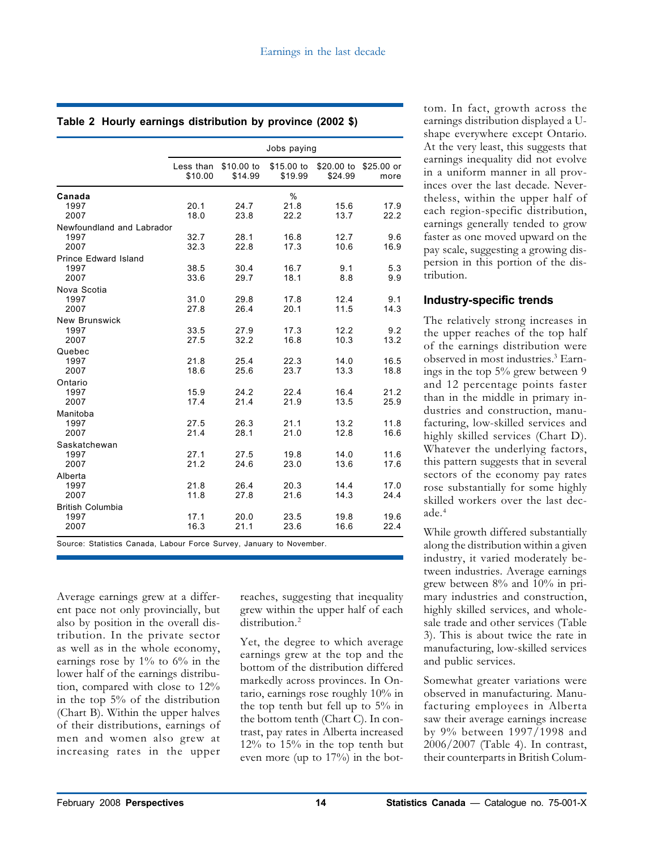|  |  |  | Table 2 Hourly earnings distribution by province (2002 \$) |  |  |  |  |
|--|--|--|------------------------------------------------------------|--|--|--|--|
|--|--|--|------------------------------------------------------------|--|--|--|--|

|                                           |                      |                       | Jobs paying           |                       |                     |
|-------------------------------------------|----------------------|-----------------------|-----------------------|-----------------------|---------------------|
|                                           | Less than<br>\$10.00 | \$10.00 to<br>\$14.99 | \$15.00 to<br>\$19.99 | \$20.00 to<br>\$24.99 | $$25.00$ or<br>more |
| Canada<br>1997<br>2007                    | 20.1<br>18.0         | 24.7<br>23.8          | $\%$<br>21.8<br>22.2  | 15.6<br>13.7          | 17.9<br>22.2        |
| Newfoundland and Labrador<br>1997<br>2007 | 32.7<br>32.3         | 28.1<br>22.8          | 16.8<br>17.3          | 12.7<br>10.6          | 9.6<br>16.9         |
| Prince Edward Island<br>1997<br>2007      | 38.5<br>33.6         | 30.4<br>29.7          | 16.7<br>18.1          | 9.1<br>8.8            | 5.3<br>9.9          |
| Nova Scotia<br>1997<br>2007               | 31.0<br>27.8         | 29.8<br>26.4          | 17.8<br>20.1          | 12.4<br>11.5          | 9.1<br>14.3         |
| <b>New Brunswick</b><br>1997<br>2007      | 33.5<br>27.5         | 27.9<br>32.2          | 17.3<br>16.8          | 12.2<br>10.3          | 9.2<br>13.2         |
| Quebec<br>1997<br>2007                    | 21.8<br>18.6         | 25.4<br>25.6          | 22.3<br>23.7          | 14.0<br>13.3          | 16.5<br>18.8        |
| Ontario<br>1997<br>2007                   | 15.9<br>17.4         | 24.2<br>21.4          | 22.4<br>21.9          | 16.4<br>13.5          | 21.2<br>25.9        |
| Manitoba<br>1997<br>2007                  | 27.5<br>21.4         | 26.3<br>28.1          | 21.1<br>21.0          | 13.2<br>12.8          | 11.8<br>16.6        |
| Saskatchewan<br>1997<br>2007              | 27.1<br>21.2         | 27.5<br>24.6          | 19.8<br>23.0          | 14.0<br>13.6          | 11.6<br>17.6        |
| Alberta<br>1997<br>2007                   | 21.8<br>11.8         | 26.4<br>27.8          | 20.3<br>21.6          | 14.4<br>14.3          | 17.0<br>24.4        |
| <b>British Columbia</b><br>1997<br>2007   | 17.1<br>16.3         | 20.0<br>21.1          | 23.5<br>23.6          | 19.8<br>16.6          | 19.6<br>22.4        |

Source: Statistics Canada, Labour Force Survey, January to November.

Average earnings grew at a different pace not only provincially, but also by position in the overall distribution. In the private sector as well as in the whole economy, earnings rose by  $1\%$  to  $6\%$  in the lower half of the earnings distribution, compared with close to 12% in the top 5% of the distribution (Chart B). Within the upper halves of their distributions, earnings of men and women also grew at increasing rates in the upper reaches, suggesting that inequality grew within the upper half of each distribution.<sup>2</sup>

Yet, the degree to which average earnings grew at the top and the bottom of the distribution differed markedly across provinces. In Ontario, earnings rose roughly 10% in the top tenth but fell up to 5% in the bottom tenth (Chart C). In contrast, pay rates in Alberta increased 12% to 15% in the top tenth but even more (up to 17%) in the bot-

tom. In fact, growth across the earnings distribution displayed a Ushape everywhere except Ontario. At the very least, this suggests that earnings inequality did not evolve in a uniform manner in all provinces over the last decade. Nevertheless, within the upper half of each region-specific distribution, earnings generally tended to grow faster as one moved upward on the pay scale, suggesting a growing dispersion in this portion of the distribution.

## **Industry-specific trends**

The relatively strong increases in the upper reaches of the top half of the earnings distribution were observed in most industries.<sup>3</sup> Earnings in the top 5% grew between 9 and 12 percentage points faster than in the middle in primary industries and construction, manufacturing, low-skilled services and highly skilled services (Chart D). Whatever the underlying factors, this pattern suggests that in several sectors of the economy pay rates rose substantially for some highly skilled workers over the last decade.<sup>4</sup>

While growth differed substantially along the distribution within a given industry, it varied moderately between industries. Average earnings grew between 8% and 10% in primary industries and construction, highly skilled services, and wholesale trade and other services (Table 3). This is about twice the rate in manufacturing, low-skilled services and public services.

Somewhat greater variations were observed in manufacturing. Manufacturing employees in Alberta saw their average earnings increase by 9% between 1997/1998 and 2006/2007 (Table 4). In contrast, their counterparts in British Colum-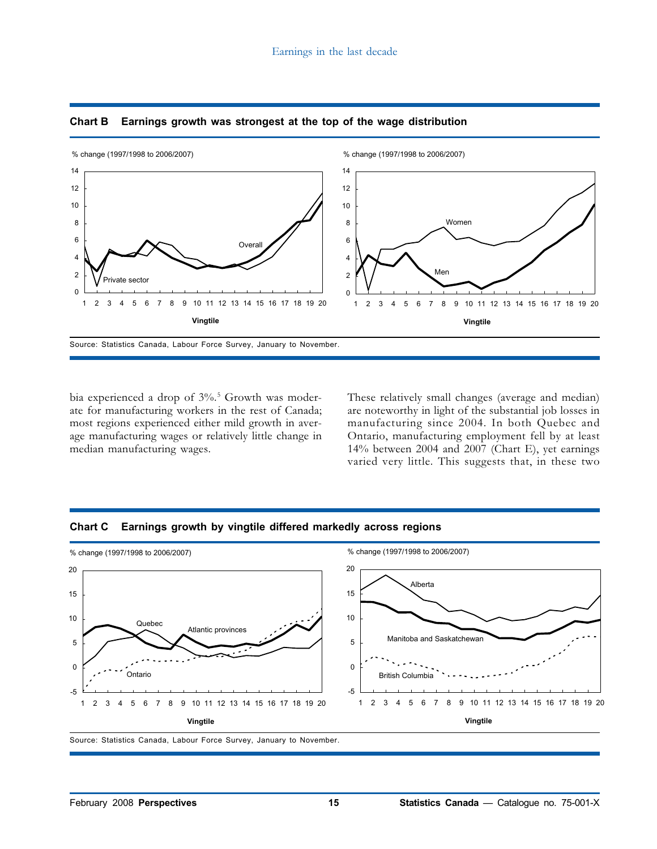

#### **Chart B Earnings growth was strongest at the top of the wage distribution**

bia experienced a drop of 3%.<sup>5</sup> Growth was moderate for manufacturing workers in the rest of Canada; most regions experienced either mild growth in average manufacturing wages or relatively little change in median manufacturing wages.

These relatively small changes (average and median) are noteworthy in light of the substantial job losses in manufacturing since 2004. In both Quebec and Ontario, manufacturing employment fell by at least 14% between 2004 and 2007 (Chart E), yet earnings varied very little. This suggests that, in these two





Source: Statistics Canada, Labour Force Survey, January to November.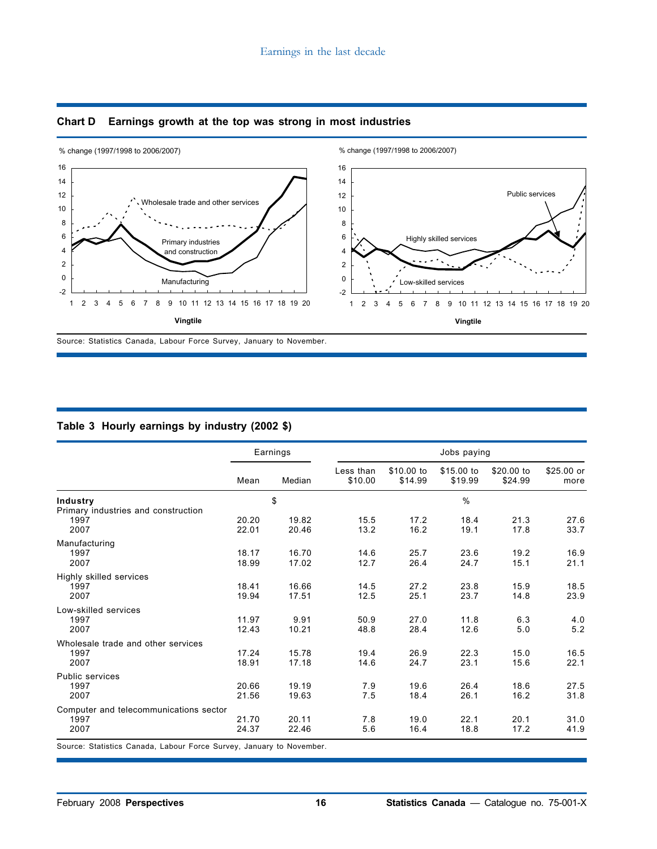

## **Chart D Earnings growth at the top was strong in most industries**

## **Table 3 Hourly earnings by industry (2002 \$)**

|                                        | Earnings |        | Jobs paying          |                       |                       |                       |                     |  |
|----------------------------------------|----------|--------|----------------------|-----------------------|-----------------------|-----------------------|---------------------|--|
|                                        | Mean     | Median | Less than<br>\$10.00 | \$10.00 to<br>\$14.99 | \$15.00 to<br>\$19.99 | \$20,00 to<br>\$24.99 | $$25.00$ or<br>more |  |
| Industry                               |          | \$     |                      |                       | $\frac{0}{0}$         |                       |                     |  |
| Primary industries and construction    |          |        |                      |                       |                       |                       |                     |  |
| 1997                                   | 20.20    | 19.82  | 15.5                 | 17.2                  | 18.4                  | 21.3                  | 27.6                |  |
| 2007                                   | 22.01    | 20.46  | 13.2                 | 16.2                  | 19.1                  | 17.8                  | 33.7                |  |
| Manufacturing                          |          |        |                      |                       |                       |                       |                     |  |
| 1997                                   | 18.17    | 16.70  | 14.6                 | 25.7                  | 23.6                  | 19.2                  | 16.9                |  |
| 2007                                   | 18.99    | 17.02  | 12.7                 | 26.4                  | 24.7                  | 15.1                  | 21.1                |  |
| Highly skilled services                |          |        |                      |                       |                       |                       |                     |  |
| 1997                                   | 18.41    | 16.66  | 14.5                 | 27.2                  | 23.8                  | 15.9                  | 18.5                |  |
| 2007                                   | 19.94    | 17.51  | 12.5                 | 25.1                  | 23.7                  | 14.8                  | 23.9                |  |
| Low-skilled services                   |          |        |                      |                       |                       |                       |                     |  |
| 1997                                   | 11.97    | 9.91   | 50.9                 | 27.0                  | 11.8                  | 6.3                   | 4.0                 |  |
| 2007                                   | 12.43    | 10.21  | 48.8                 | 28.4                  | 12.6                  | 5.0                   | 5.2                 |  |
| Wholesale trade and other services     |          |        |                      |                       |                       |                       |                     |  |
| 1997                                   | 17.24    | 15.78  | 19.4                 | 26.9                  | 22.3                  | 15.0                  | 16.5                |  |
| 2007                                   | 18.91    | 17.18  | 14.6                 | 24.7                  | 23.1                  | 15.6                  | 22.1                |  |
| Public services                        |          |        |                      |                       |                       |                       |                     |  |
| 1997                                   | 20.66    | 19.19  | 7.9                  | 19.6                  | 26.4                  | 18.6                  | 27.5                |  |
| 2007                                   | 21.56    | 19.63  | 7.5                  | 18.4                  | 26.1                  | 16.2                  | 31.8                |  |
| Computer and telecommunications sector |          |        |                      |                       |                       |                       |                     |  |
| 1997                                   | 21.70    | 20.11  | 7.8                  | 19.0                  | 22.1                  | 20.1                  | 31.0                |  |
| 2007                                   | 24.37    | 22.46  | 5.6                  | 16.4                  | 18.8                  | 17.2                  | 41.9                |  |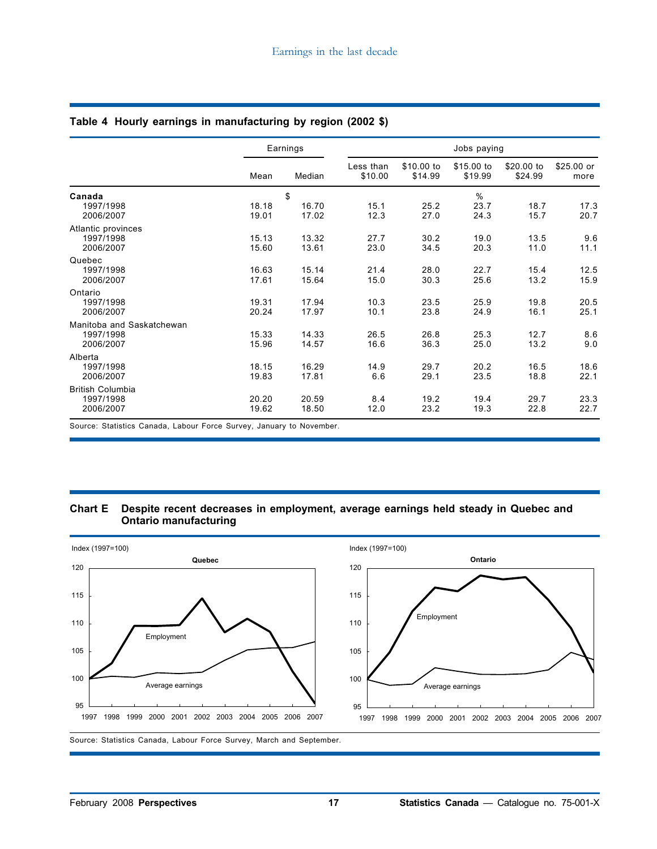|                                                     |                | Earnings             |                      | Jobs paying           |                       |                       |                    |  |  |  |
|-----------------------------------------------------|----------------|----------------------|----------------------|-----------------------|-----------------------|-----------------------|--------------------|--|--|--|
|                                                     | Mean           | Median               | Less than<br>\$10.00 | \$10.00 to<br>\$14.99 | \$15.00 to<br>\$19.99 | \$20.00 to<br>\$24.99 | \$25.00 or<br>more |  |  |  |
| Canada<br>1997/1998<br>2006/2007                    | 18.18<br>19.01 | \$<br>16.70<br>17.02 | 15.1<br>12.3         | 25.2<br>27.0          | %<br>23.7<br>24.3     | 18.7<br>15.7          | 17.3<br>20.7       |  |  |  |
| Atlantic provinces<br>1997/1998<br>2006/2007        | 15.13<br>15.60 | 13.32<br>13.61       | 27.7<br>23.0         | 30.2<br>34.5          | 19.0<br>20.3          | 13.5<br>11.0          | 9.6<br>11.1        |  |  |  |
| Quebec<br>1997/1998<br>2006/2007                    | 16.63<br>17.61 | 15.14<br>15.64       | 21.4<br>15.0         | 28.0<br>30.3          | 22.7<br>25.6          | 15.4<br>13.2          | 12.5<br>15.9       |  |  |  |
| Ontario<br>1997/1998<br>2006/2007                   | 19.31<br>20.24 | 17.94<br>17.97       | 10.3<br>10.1         | 23.5<br>23.8          | 25.9<br>24.9          | 19.8<br>16.1          | 20.5<br>25.1       |  |  |  |
| Manitoba and Saskatchewan<br>1997/1998<br>2006/2007 | 15.33<br>15.96 | 14.33<br>14.57       | 26.5<br>16.6         | 26.8<br>36.3          | 25.3<br>25.0          | 12.7<br>13.2          | 8.6<br>9.0         |  |  |  |
| Alberta<br>1997/1998<br>2006/2007                   | 18.15<br>19.83 | 16.29<br>17.81       | 14.9<br>6.6          | 29.7<br>29.1          | 20.2<br>23.5          | 16.5<br>18.8          | 18.6<br>22.1       |  |  |  |
| <b>British Columbia</b><br>1997/1998<br>2006/2007   | 20.20<br>19.62 | 20.59<br>18.50       | 8.4<br>12.0          | 19.2<br>23.2          | 19.4<br>19.3          | 29.7<br>22.8          | 23.3<br>22.7       |  |  |  |

#### **Table 4 Hourly earnings in manufacturing by region (2002 \$)**

Source: Statistics Canada, Labour Force Survey, January to November.

#### **Chart E Despite recent decreases in employment, average earnings held steady in Quebec and Ontario manufacturing**

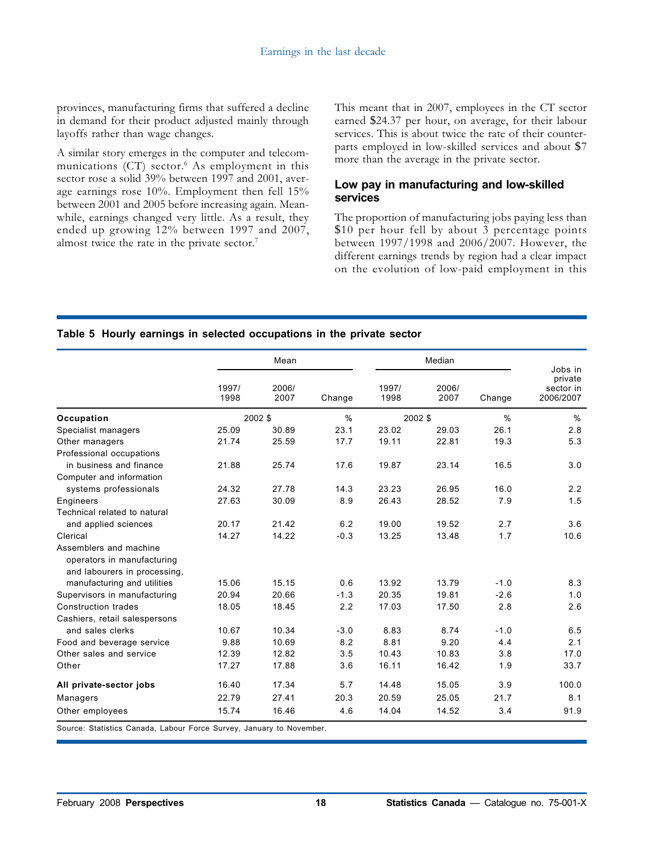provinces, manufacturing firms that suffered a decline in demand for their product adjusted mainly through layoffs rather than wage changes.

A similar story emerges in the computer and telecommunications  $(CT)$  sector.<sup>6</sup> As employment in this sector rose a solid 39% between 1997 and 2001, average earnings rose 10%. Employment then fell 15% between 2001 and 2005 before increasing again. Meanwhile, earnings changed very little. As a result, they ended up growing 12% between 1997 and 2007, almost twice the rate in the private sector.<sup>7</sup>

This meant that in 2007, employees in the CT sector earned \$24.37 per hour, on average, for their labour services. This is about twice the rate of their counterparts employed in low-skilled services and about \$7 more than the average in the private sector.

# **Low pay in manufacturing and low-skilled services**

The proportion of manufacturing jobs paying less than \$10 per hour fell by about 3 percentage points between 1997/1998 and 2006/2007. However, the different earnings trends by region had a clear impact on the evolution of low-paid employment in this

### **Table 5 Hourly earnings in selected occupations in the private sector**

|                                                                                      | Mean          |               |               |               | Jobs in       |        |                                   |
|--------------------------------------------------------------------------------------|---------------|---------------|---------------|---------------|---------------|--------|-----------------------------------|
|                                                                                      | 1997/<br>1998 | 2006/<br>2007 | Change        | 1997/<br>1998 | 2006/<br>2007 | Change | private<br>sector in<br>2006/2007 |
| Occupation                                                                           |               | 2002 \$       | $\frac{0}{0}$ | 2002 \$       |               | $\%$   | %                                 |
| Specialist managers                                                                  | 25.09         | 30.89         | 23.1          | 23.02         | 29.03         | 26.1   | 2.8                               |
| Other managers                                                                       | 21.74         | 25.59         | 17.7          | 19.11         | 22.81         | 19.3   | 5.3                               |
| Professional occupations                                                             |               |               |               |               |               |        |                                   |
| in business and finance                                                              | 21.88         | 25.74         | 17.6          | 19.87         | 23.14         | 16.5   | 3.0                               |
| Computer and information                                                             |               |               |               |               |               |        |                                   |
| systems professionals                                                                | 24.32         | 27.78         | 14.3          | 23.23         | 26.95         | 16.0   | 2.2                               |
| Engineers                                                                            | 27.63         | 30.09         | 8.9           | 26.43         | 28.52         | 7.9    | 1.5                               |
| Technical related to natural                                                         |               |               |               |               |               |        |                                   |
| and applied sciences                                                                 | 20.17         | 21.42         | 6.2           | 19.00         | 19.52         | 2.7    | 3.6                               |
| Clerical                                                                             | 14.27         | 14.22         | $-0.3$        | 13.25         | 13.48         | 1.7    | 10.6                              |
| Assemblers and machine<br>operators in manufacturing<br>and labourers in processing, |               |               |               |               |               |        |                                   |
| manufacturing and utilities                                                          | 15.06         | 15.15         | 0.6           | 13.92         | 13.79         | $-1.0$ | 8.3                               |
| Supervisors in manufacturing                                                         | 20.94         | 20.66         | $-1.3$        | 20.35         | 19.81         | $-2.6$ | 1.0                               |
| <b>Construction trades</b>                                                           | 18.05         | 18.45         | 2.2           | 17.03         | 17.50         | 2.8    | 2.6                               |
| Cashiers, retail salespersons                                                        |               |               |               |               |               |        |                                   |
| and sales clerks                                                                     | 10.67         | 10.34         | $-3.0$        | 8.83          | 8.74          | $-1.0$ | 6.5                               |
| Food and beverage service                                                            | 9.88          | 10.69         | 8.2           | 8.81          | 9.20          | 4.4    | 2.1                               |
| Other sales and service                                                              | 12.39         | 12.82         | 3.5           | 10.43         | 10.83         | 3.8    | 17.0                              |
| Other                                                                                | 17.27         | 17.88         | 3.6           | 16.11         | 16.42         | 1.9    | 33.7                              |
| All private-sector jobs                                                              | 16.40         | 17.34         | 5.7           | 14.48         | 15.05         | 3.9    | 100.0                             |
| Managers                                                                             | 22.79         | 27.41         | 20.3          | 20.59         | 25.05         | 21.7   | 8.1                               |
| Other employees                                                                      | 15.74         | 16.46         | 4.6           | 14.04         | 14.52         | 3.4    | 91.9                              |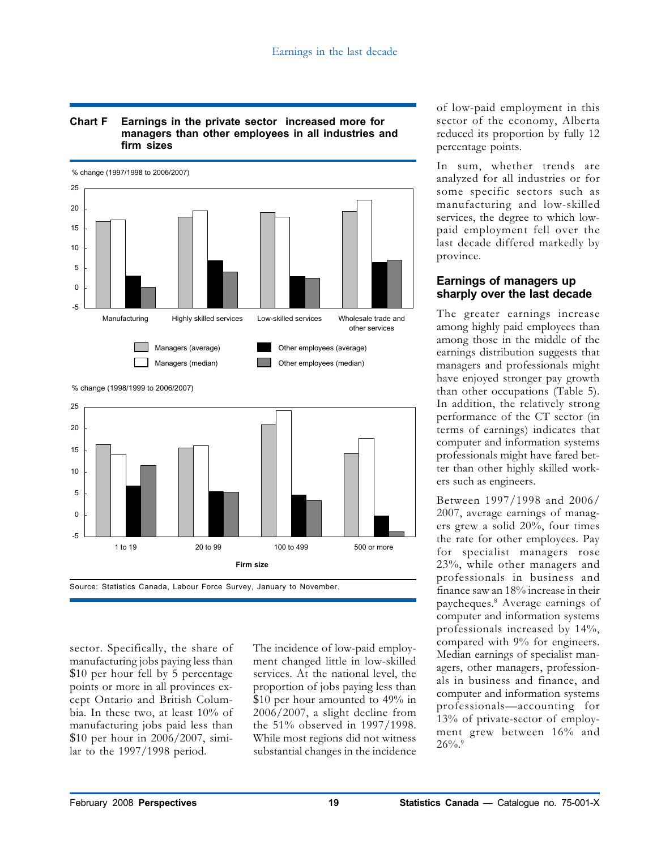#### **Chart F Earnings in the private sector increased more for managers than other employees in all industries and firm sizes**



<sup>%</sup> change (1998/1999 to 2006/2007)



sector. Specifically, the share of manufacturing jobs paying less than \$10 per hour fell by 5 percentage points or more in all provinces except Ontario and British Columbia. In these two, at least 10% of manufacturing jobs paid less than \$10 per hour in 2006/2007, similar to the 1997/1998 period.

The incidence of low-paid employment changed little in low-skilled services. At the national level, the proportion of jobs paying less than \$10 per hour amounted to 49% in 2006/2007, a slight decline from the 51% observed in 1997/1998. While most regions did not witness substantial changes in the incidence

of low-paid employment in this sector of the economy, Alberta reduced its proportion by fully 12 percentage points.

In sum, whether trends are analyzed for all industries or for some specific sectors such as manufacturing and low-skilled services, the degree to which lowpaid employment fell over the last decade differed markedly by province.

# **Earnings of managers up sharply over the last decade**

The greater earnings increase among highly paid employees than among those in the middle of the earnings distribution suggests that managers and professionals might have enjoyed stronger pay growth than other occupations (Table 5). In addition, the relatively strong performance of the CT sector (in terms of earnings) indicates that computer and information systems professionals might have fared better than other highly skilled workers such as engineers.

Between 1997/1998 and 2006/ 2007, average earnings of managers grew a solid 20%, four times the rate for other employees. Pay for specialist managers rose 23%, while other managers and professionals in business and finance saw an 18% increase in their paycheques.<sup>8</sup> Average earnings of computer and information systems professionals increased by 14%, compared with 9% for engineers. Median earnings of specialist managers, other managers, professionals in business and finance, and computer and information systems professionals—accounting for 13% of private-sector of employment grew between 16% and  $26\%$ .<sup>9</sup>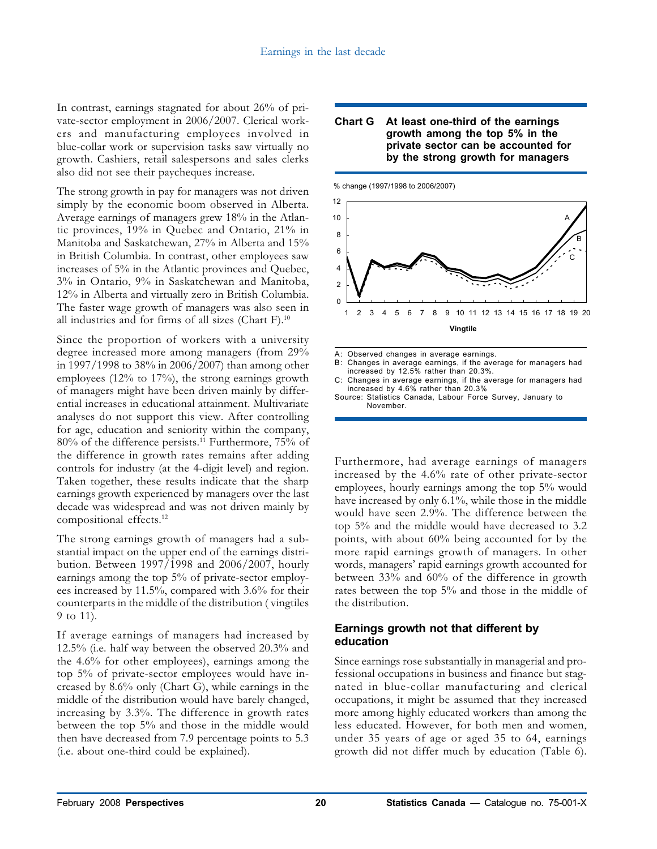In contrast, earnings stagnated for about 26% of private-sector employment in 2006/2007. Clerical workers and manufacturing employees involved in blue-collar work or supervision tasks saw virtually no growth. Cashiers, retail salespersons and sales clerks also did not see their paycheques increase.

The strong growth in pay for managers was not driven simply by the economic boom observed in Alberta. Average earnings of managers grew 18% in the Atlantic provinces, 19% in Quebec and Ontario, 21% in Manitoba and Saskatchewan, 27% in Alberta and 15% in British Columbia. In contrast, other employees saw increases of 5% in the Atlantic provinces and Quebec, 3% in Ontario, 9% in Saskatchewan and Manitoba, 12% in Alberta and virtually zero in British Columbia. The faster wage growth of managers was also seen in all industries and for firms of all sizes (Chart F).<sup>10</sup>

Since the proportion of workers with a university degree increased more among managers (from 29% in 1997/1998 to 38% in 2006/2007) than among other employees (12% to 17%), the strong earnings growth of managers might have been driven mainly by differential increases in educational attainment. Multivariate analyses do not support this view. After controlling for age, education and seniority within the company, 80% of the difference persists.<sup>11</sup> Furthermore, 75% of the difference in growth rates remains after adding controls for industry (at the 4-digit level) and region. Taken together, these results indicate that the sharp earnings growth experienced by managers over the last decade was widespread and was not driven mainly by compositional effects.<sup>12</sup>

The strong earnings growth of managers had a substantial impact on the upper end of the earnings distribution. Between 1997/1998 and 2006/2007, hourly earnings among the top 5% of private-sector employees increased by 11.5%, compared with 3.6% for their counterparts in the middle of the distribution ( vingtiles 9 to 11).

If average earnings of managers had increased by 12.5% (i.e. half way between the observed 20.3% and the 4.6% for other employees), earnings among the top 5% of private-sector employees would have increased by 8.6% only (Chart G), while earnings in the middle of the distribution would have barely changed, increasing by 3.3%. The difference in growth rates between the top 5% and those in the middle would then have decreased from 7.9 percentage points to 5.3 (i.e. about one-third could be explained).

#### **Chart G At least one-third of the earnings growth among the top 5% in the private sector can be accounted for by the strong growth for managers**

% change (1997/1998 to 2006/2007)



A: Observed changes in average earnings.<br>B: Changes in average earnings, if the ave

- B: Changes in average earnings, if the average for managers had
- increased by 12.5% rather than 20.3%. C: Changes in average earnings, if the average for managers had increased by 4.6% rather than 20.3%

Source: Statistics Canada, Labour Force Survey, January to November.

Furthermore, had average earnings of managers increased by the 4.6% rate of other private-sector employees, hourly earnings among the top 5% would have increased by only 6.1%, while those in the middle would have seen 2.9%. The difference between the top 5% and the middle would have decreased to 3.2 points, with about 60% being accounted for by the more rapid earnings growth of managers. In other words, managers' rapid earnings growth accounted for between 33% and 60% of the difference in growth rates between the top 5% and those in the middle of the distribution.

# **Earnings growth not that different by education**

Since earnings rose substantially in managerial and professional occupations in business and finance but stagnated in blue-collar manufacturing and clerical occupations, it might be assumed that they increased more among highly educated workers than among the less educated. However, for both men and women, under 35 years of age or aged 35 to 64, earnings growth did not differ much by education (Table 6).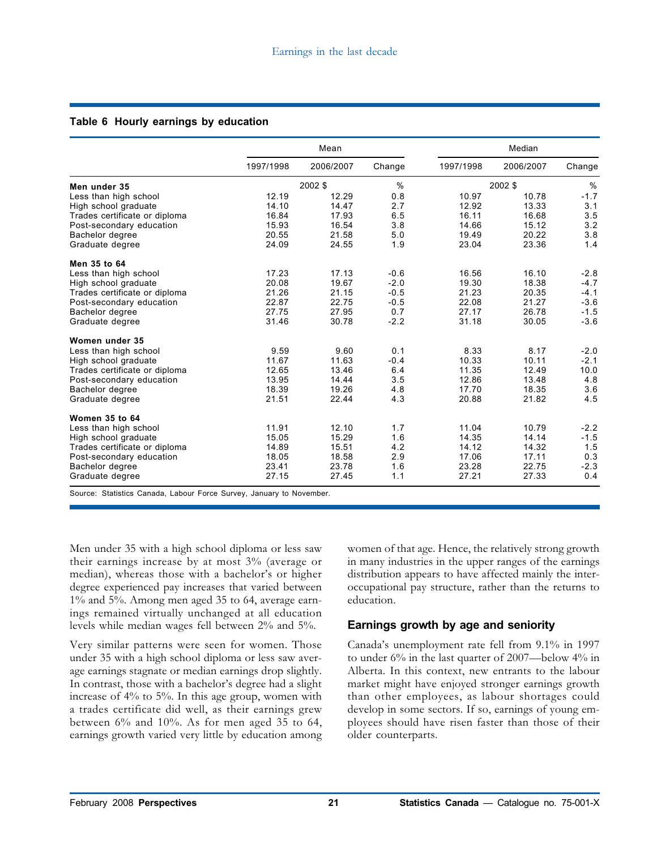|  |  |  |  | Table 6 Hourly earnings by education |
|--|--|--|--|--------------------------------------|
|--|--|--|--|--------------------------------------|

|                               |           | Mean      |        |           | Median    |        |
|-------------------------------|-----------|-----------|--------|-----------|-----------|--------|
|                               | 1997/1998 | 2006/2007 | Change | 1997/1998 | 2006/2007 | Change |
| Men under 35                  |           | 2002 \$   | %      |           | 2002 \$   | %      |
| Less than high school         | 12.19     | 12.29     | 0.8    | 10.97     | 10.78     | $-1.7$ |
| High school graduate          | 14.10     | 14.47     | 2.7    | 12.92     | 13.33     | 3.1    |
| Trades certificate or diploma | 16.84     | 17.93     | 6.5    | 16.11     | 16.68     | 3.5    |
| Post-secondary education      | 15.93     | 16.54     | 3.8    | 14.66     | 15.12     | 3.2    |
| Bachelor degree               | 20.55     | 21.58     | 5.0    | 19.49     | 20.22     | 3.8    |
| Graduate degree               | 24.09     | 24.55     | 1.9    | 23.04     | 23.36     | 1.4    |
| Men 35 to 64                  |           |           |        |           |           |        |
| Less than high school         | 17.23     | 17.13     | $-0.6$ | 16.56     | 16.10     | $-2.8$ |
| High school graduate          | 20.08     | 19.67     | $-2.0$ | 19.30     | 18.38     | $-4.7$ |
| Trades certificate or diploma | 21.26     | 21.15     | $-0.5$ | 21.23     | 20.35     | $-4.1$ |
| Post-secondary education      | 22.87     | 22.75     | $-0.5$ | 22.08     | 21.27     | $-3.6$ |
| Bachelor degree               | 27.75     | 27.95     | 0.7    | 27.17     | 26.78     | $-1.5$ |
| Graduate degree               | 31.46     | 30.78     | $-2.2$ | 31.18     | 30.05     | $-3.6$ |
| Women under 35                |           |           |        |           |           |        |
| Less than high school         | 9.59      | 9.60      | 0.1    | 8.33      | 8.17      | $-2.0$ |
| High school graduate          | 11.67     | 11.63     | $-0.4$ | 10.33     | 10.11     | $-2.1$ |
| Trades certificate or diploma | 12.65     | 13.46     | 6.4    | 11.35     | 12.49     | 10.0   |
| Post-secondary education      | 13.95     | 14.44     | 3.5    | 12.86     | 13.48     | 4.8    |
| Bachelor degree               | 18.39     | 19.26     | 4.8    | 17.70     | 18.35     | 3.6    |
| Graduate degree               | 21.51     | 22.44     | 4.3    | 20.88     | 21.82     | 4.5    |
| Women 35 to 64                |           |           |        |           |           |        |
| Less than high school         | 11.91     | 12.10     | 1.7    | 11.04     | 10.79     | $-2.2$ |
| High school graduate          | 15.05     | 15.29     | 1.6    | 14.35     | 14.14     | $-1.5$ |
| Trades certificate or diploma | 14.89     | 15.51     | 4.2    | 14.12     | 14.32     | 1.5    |
| Post-secondary education      | 18.05     | 18.58     | 2.9    | 17.06     | 17.11     | 0.3    |
| Bachelor degree               | 23.41     | 23.78     | 1.6    | 23.28     | 22.75     | $-2.3$ |
| Graduate degree               | 27.15     | 27.45     | 1.1    | 27.21     | 27.33     | 0.4    |

Source: Statistics Canada, Labour Force Survey, January to November.

Men under 35 with a high school diploma or less saw their earnings increase by at most 3% (average or median), whereas those with a bachelor's or higher degree experienced pay increases that varied between 1% and 5%. Among men aged 35 to 64, average earnings remained virtually unchanged at all education levels while median wages fell between 2% and 5%.

Very similar patterns were seen for women. Those under 35 with a high school diploma or less saw average earnings stagnate or median earnings drop slightly. In contrast, those with a bachelor's degree had a slight increase of 4% to 5%. In this age group, women with a trades certificate did well, as their earnings grew between  $6\%$  and  $10\%$ . As for men aged 35 to 64, earnings growth varied very little by education among

women of that age. Hence, the relatively strong growth in many industries in the upper ranges of the earnings distribution appears to have affected mainly the interoccupational pay structure, rather than the returns to education.

# **Earnings growth by age and seniority**

Canada's unemployment rate fell from 9.1% in 1997 to under 6% in the last quarter of 2007—below 4% in Alberta. In this context, new entrants to the labour market might have enjoyed stronger earnings growth than other employees, as labour shortages could develop in some sectors. If so, earnings of young employees should have risen faster than those of their older counterparts.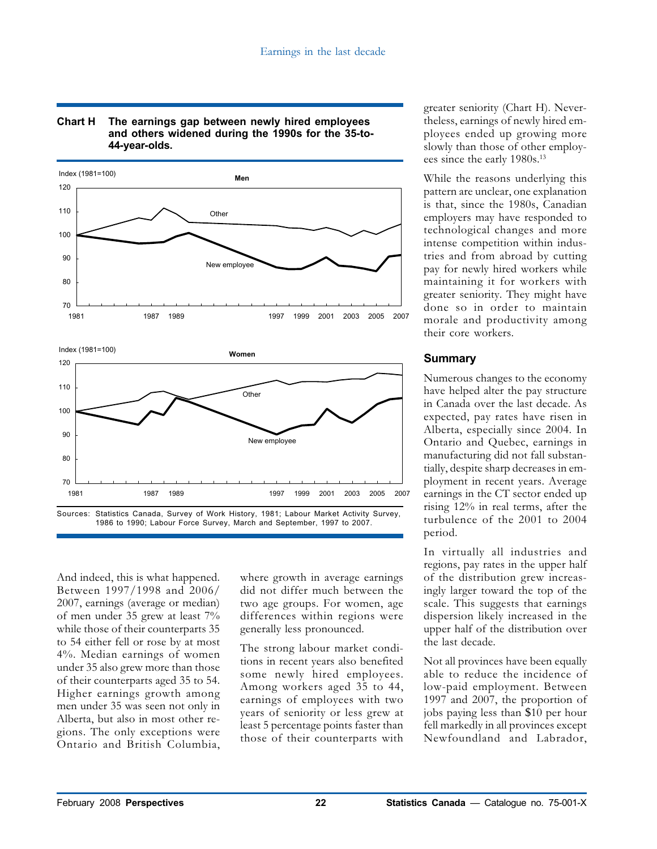

#### **Chart H The earnings gap between newly hired employees and others widened during the 1990s for the 35-to-44-year-olds.**

And indeed, this is what happened. Between 1997/1998 and 2006/ 2007, earnings (average or median) of men under 35 grew at least 7% while those of their counterparts 35 to 54 either fell or rose by at most 4%. Median earnings of women under 35 also grew more than those of their counterparts aged 35 to 54. Higher earnings growth among men under 35 was seen not only in Alberta, but also in most other regions. The only exceptions were Ontario and British Columbia, where growth in average earnings did not differ much between the two age groups. For women, age differences within regions were generally less pronounced.

The strong labour market conditions in recent years also benefited some newly hired employees. Among workers aged 35 to 44, earnings of employees with two years of seniority or less grew at least 5 percentage points faster than those of their counterparts with

greater seniority (Chart H). Nevertheless, earnings of newly hired employees ended up growing more slowly than those of other employees since the early 1980s.<sup>13</sup>

While the reasons underlying this pattern are unclear, one explanation is that, since the 1980s, Canadian employers may have responded to technological changes and more intense competition within industries and from abroad by cutting pay for newly hired workers while maintaining it for workers with greater seniority. They might have done so in order to maintain morale and productivity among their core workers.

# **Summary**

Numerous changes to the economy have helped alter the pay structure in Canada over the last decade. As expected, pay rates have risen in Alberta, especially since 2004. In Ontario and Quebec, earnings in manufacturing did not fall substantially, despite sharp decreases in employment in recent years. Average earnings in the CT sector ended up rising 12% in real terms, after the turbulence of the 2001 to 2004 period.

In virtually all industries and regions, pay rates in the upper half of the distribution grew increasingly larger toward the top of the scale. This suggests that earnings dispersion likely increased in the upper half of the distribution over the last decade.

Not all provinces have been equally able to reduce the incidence of low-paid employment. Between 1997 and 2007, the proportion of jobs paying less than \$10 per hour fell markedly in all provinces except Newfoundland and Labrador,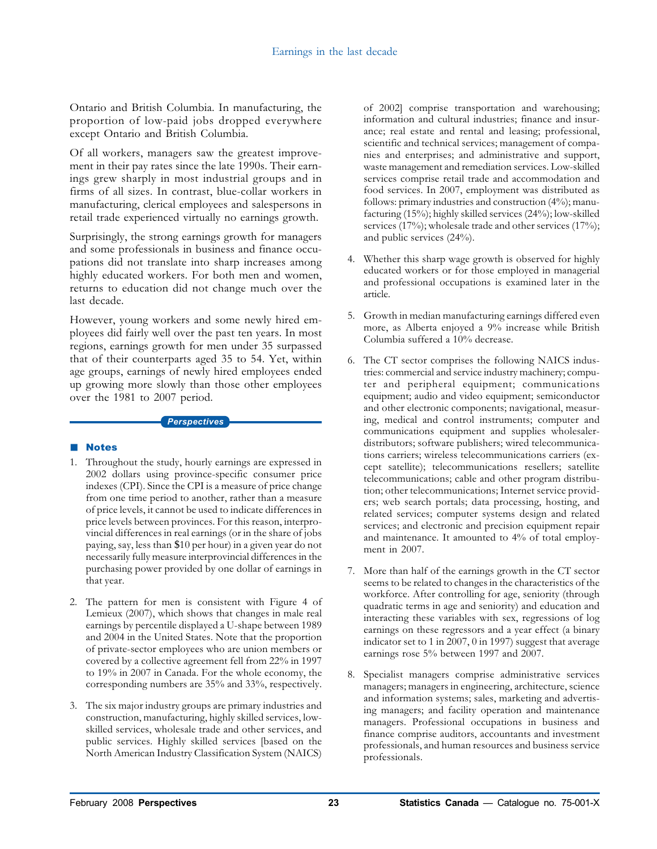Ontario and British Columbia. In manufacturing, the proportion of low-paid jobs dropped everywhere except Ontario and British Columbia.

Of all workers, managers saw the greatest improvement in their pay rates since the late 1990s. Their earnings grew sharply in most industrial groups and in firms of all sizes. In contrast, blue-collar workers in manufacturing, clerical employees and salespersons in retail trade experienced virtually no earnings growth.

Surprisingly, the strong earnings growth for managers and some professionals in business and finance occupations did not translate into sharp increases among highly educated workers. For both men and women, returns to education did not change much over the last decade.

However, young workers and some newly hired employees did fairly well over the past ten years. In most regions, earnings growth for men under 35 surpassed that of their counterparts aged 35 to 54. Yet, within age groups, earnings of newly hired employees ended up growing more slowly than those other employees over the 1981 to 2007 period.

#### *Perspectives*

# **Notes**

- 1. Throughout the study, hourly earnings are expressed in 2002 dollars using province-specific consumer price indexes (CPI). Since the CPI is a measure of price change from one time period to another, rather than a measure of price levels, it cannot be used to indicate differences in price levels between provinces. For this reason, interprovincial differences in real earnings (or in the share of jobs paying, say, less than \$10 per hour) in a given year do not necessarily fully measure interprovincial differences in the purchasing power provided by one dollar of earnings in that year.
- 2. The pattern for men is consistent with Figure 4 of Lemieux (2007), which shows that changes in male real earnings by percentile displayed a U-shape between 1989 and 2004 in the United States. Note that the proportion of private-sector employees who are union members or covered by a collective agreement fell from 22% in 1997 to 19% in 2007 in Canada. For the whole economy, the corresponding numbers are 35% and 33%, respectively.
- 3. The six major industry groups are primary industries and construction, manufacturing, highly skilled services, lowskilled services, wholesale trade and other services, and public services. Highly skilled services [based on the North American Industry Classification System (NAICS)

of 2002] comprise transportation and warehousing; information and cultural industries; finance and insurance; real estate and rental and leasing; professional, scientific and technical services; management of companies and enterprises; and administrative and support, waste management and remediation services. Low-skilled services comprise retail trade and accommodation and food services. In 2007, employment was distributed as follows: primary industries and construction (4%); manufacturing (15%); highly skilled services (24%); low-skilled services (17%); wholesale trade and other services (17%); and public services (24%).

- 4. Whether this sharp wage growth is observed for highly educated workers or for those employed in managerial and professional occupations is examined later in the article.
- 5. Growth in median manufacturing earnings differed even more, as Alberta enjoyed a 9% increase while British Columbia suffered a 10% decrease.
- 6. The CT sector comprises the following NAICS industries: commercial and service industry machinery; computer and peripheral equipment; communications equipment; audio and video equipment; semiconductor and other electronic components; navigational, measuring, medical and control instruments; computer and communications equipment and supplies wholesalerdistributors; software publishers; wired telecommunications carriers; wireless telecommunications carriers (except satellite); telecommunications resellers; satellite telecommunications; cable and other program distribution; other telecommunications; Internet service providers; web search portals; data processing, hosting, and related services; computer systems design and related services; and electronic and precision equipment repair and maintenance. It amounted to 4% of total employment in 2007.
- 7. More than half of the earnings growth in the CT sector seems to be related to changes in the characteristics of the workforce. After controlling for age, seniority (through quadratic terms in age and seniority) and education and interacting these variables with sex, regressions of log earnings on these regressors and a year effect (a binary indicator set to 1 in 2007, 0 in 1997) suggest that average earnings rose 5% between 1997 and 2007.
- 8. Specialist managers comprise administrative services managers; managers in engineering, architecture, science and information systems; sales, marketing and advertising managers; and facility operation and maintenance managers. Professional occupations in business and finance comprise auditors, accountants and investment professionals, and human resources and business service professionals.